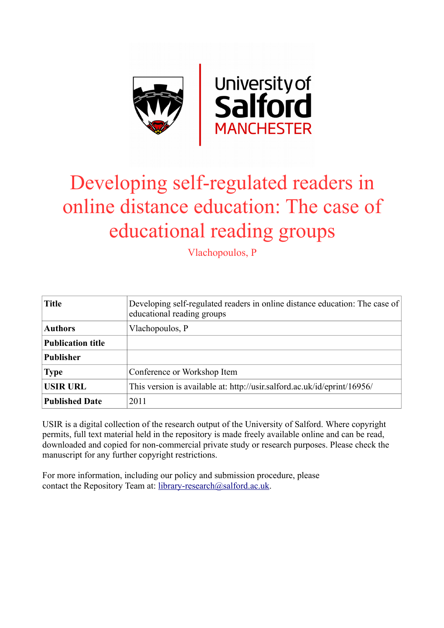

# Developing self-regulated readers in online distance education: The case of educational reading groups

Vlachopoulos, P

| <b>Title</b>             | Developing self-regulated readers in online distance education: The case of<br>educational reading groups |
|--------------------------|-----------------------------------------------------------------------------------------------------------|
| <b>Authors</b>           | Vlachopoulos, P                                                                                           |
| <b>Publication title</b> |                                                                                                           |
| <b>Publisher</b>         |                                                                                                           |
| <b>Type</b>              | Conference or Workshop Item                                                                               |
| <b>USIR URL</b>          | This version is available at: http://usir.salford.ac.uk/id/eprint/16956/                                  |
| <b>Published Date</b>    | 2011                                                                                                      |

USIR is a digital collection of the research output of the University of Salford. Where copyright permits, full text material held in the repository is made freely available online and can be read, downloaded and copied for non-commercial private study or research purposes. Please check the manuscript for any further copyright restrictions.

For more information, including our policy and submission procedure, please contact the Repository Team at: [library-research@salford.ac.uk.](mailto:library-research@salford.ac.uk)